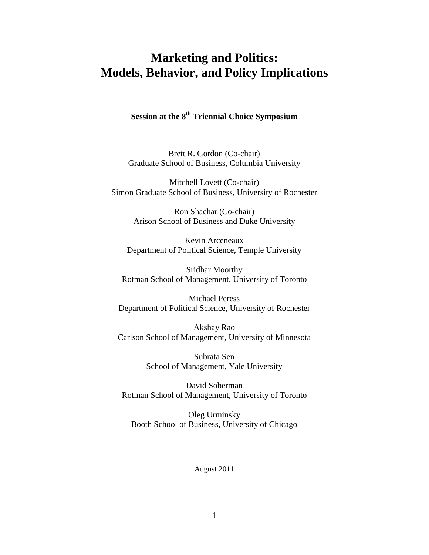# **Marketing and Politics: Models, Behavior, and Policy Implications**

**Session at the 8th Triennial Choice Symposium**

Brett R. Gordon (Co-chair) Graduate School of Business, Columbia University

Mitchell Lovett (Co-chair) Simon Graduate School of Business, University of Rochester

> Ron Shachar (Co-chair) Arison School of Business and Duke University

Kevin Arceneaux Department of Political Science, Temple University

Sridhar Moorthy Rotman School of Management, University of Toronto

Michael Peress Department of Political Science, University of Rochester

Akshay Rao Carlson School of Management, University of Minnesota

> Subrata Sen School of Management, Yale University

David Soberman Rotman School of Management, University of Toronto

Oleg Urminsky Booth School of Business, University of Chicago

August 2011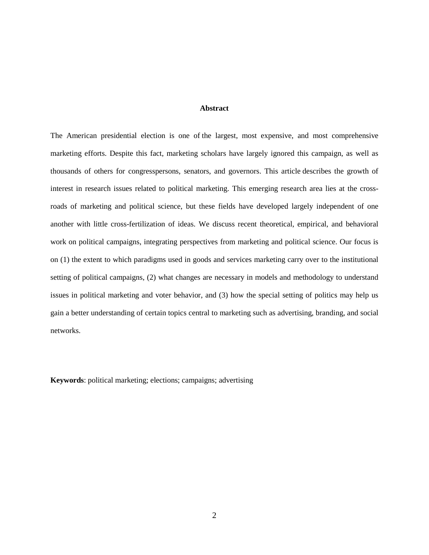## **Abstract**

The American presidential election is one of the largest, most expensive, and most comprehensive marketing efforts. Despite this fact, marketing scholars have largely ignored this campaign, as well as thousands of others for congresspersons, senators, and governors. This article describes the growth of interest in research issues related to political marketing. This emerging research area lies at the crossroads of marketing and political science, but these fields have developed largely independent of one another with little cross-fertilization of ideas. We discuss recent theoretical, empirical, and behavioral work on political campaigns, integrating perspectives from marketing and political science. Our focus is on (1) the extent to which paradigms used in goods and services marketing carry over to the institutional setting of political campaigns, (2) what changes are necessary in models and methodology to understand issues in political marketing and voter behavior, and (3) how the special setting of politics may help us gain a better understanding of certain topics central to marketing such as advertising, branding, and social networks.

**Keywords**: political marketing; elections; campaigns; advertising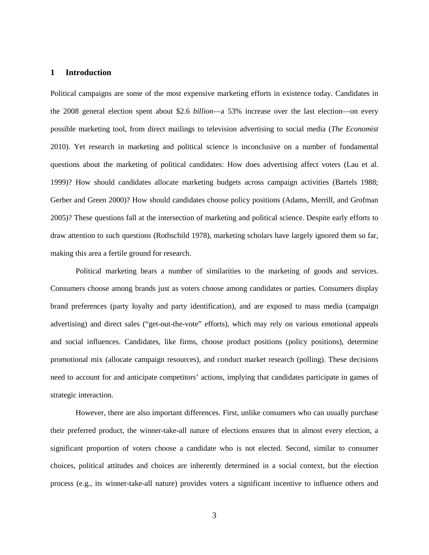# **1 Introduction**

Political campaigns are some of the most expensive marketing efforts in existence today. Candidates in the 2008 general election spent about \$2.6 *billion*—a 53% increase over the last election—on every possible marketing tool, from direct mailings to television advertising to social media (*The Economist* 2010). Yet research in marketing and political science is inconclusive on a number of fundamental questions about the marketing of political candidates: How does advertising affect voters (Lau et al. 1999)? How should candidates allocate marketing budgets across campaign activities (Bartels 1988; Gerber and Green 2000)? How should candidates choose policy positions (Adams, Merrill, and Grofman 2005)? These questions fall at the intersection of marketing and political science. Despite early efforts to draw attention to such questions (Rothschild 1978), marketing scholars have largely ignored them so far, making this area a fertile ground for research.

Political marketing bears a number of similarities to the marketing of goods and services. Consumers choose among brands just as voters choose among candidates or parties. Consumers display brand preferences (party loyalty and party identification), and are exposed to mass media (campaign advertising) and direct sales ("get-out-the-vote" efforts), which may rely on various emotional appeals and social influences. Candidates, like firms, choose product positions (policy positions), determine promotional mix (allocate campaign resources), and conduct market research (polling). These decisions need to account for and anticipate competitors' actions, implying that candidates participate in games of strategic interaction.

However, there are also important differences. First, unlike consumers who can usually purchase their preferred product, the winner-take-all nature of elections ensures that in almost every election, a significant proportion of voters choose a candidate who is not elected. Second, similar to consumer choices, political attitudes and choices are inherently determined in a social context, but the election process (e.g., its winner-take-all nature) provides voters a significant incentive to influence others and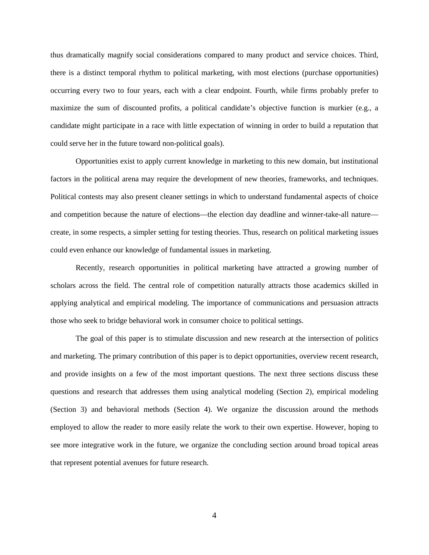thus dramatically magnify social considerations compared to many product and service choices. Third, there is a distinct temporal rhythm to political marketing, with most elections (purchase opportunities) occurring every two to four years, each with a clear endpoint. Fourth, while firms probably prefer to maximize the sum of discounted profits, a political candidate's objective function is murkier (e.g., a candidate might participate in a race with little expectation of winning in order to build a reputation that could serve her in the future toward non-political goals).

Opportunities exist to apply current knowledge in marketing to this new domain, but institutional factors in the political arena may require the development of new theories, frameworks, and techniques. Political contests may also present cleaner settings in which to understand fundamental aspects of choice and competition because the nature of elections—the election day deadline and winner-take-all nature create, in some respects, a simpler setting for testing theories. Thus, research on political marketing issues could even enhance our knowledge of fundamental issues in marketing.

Recently, research opportunities in political marketing have attracted a growing number of scholars across the field. The central role of competition naturally attracts those academics skilled in applying analytical and empirical modeling. The importance of communications and persuasion attracts those who seek to bridge behavioral work in consumer choice to political settings.

The goal of this paper is to stimulate discussion and new research at the intersection of politics and marketing. The primary contribution of this paper is to depict opportunities, overview recent research, and provide insights on a few of the most important questions. The next three sections discuss these questions and research that addresses them using analytical modeling (Section 2), empirical modeling (Section 3) and behavioral methods (Section 4). We organize the discussion around the methods employed to allow the reader to more easily relate the work to their own expertise. However, hoping to see more integrative work in the future, we organize the concluding section around broad topical areas that represent potential avenues for future research.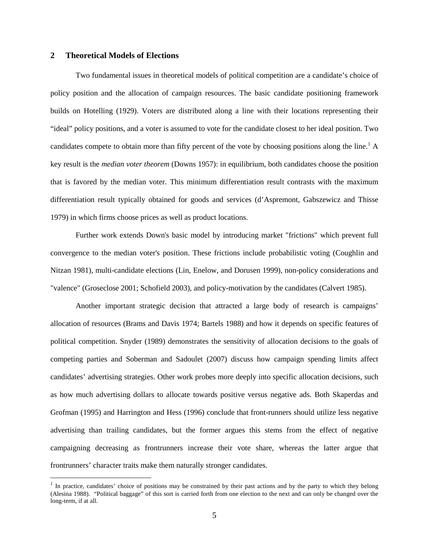## **2 Theoretical Models of Elections**

Two fundamental issues in theoretical models of political competition are a candidate's choice of policy position and the allocation of campaign resources. The basic candidate positioning framework builds on Hotelling (1929). Voters are distributed along a line with their locations representing their "ideal" policy positions, and a voter is assumed to vote for the candidate closest to her ideal position. Two candidates compete to obtain more than fifty percent of the vote by choosing positions along the line.<sup>[1](#page-4-0)</sup> A key result is the *median voter theorem* (Downs 1957): in equilibrium, both candidates choose the position that is favored by the median voter. This minimum differentiation result contrasts with the maximum differentiation result typically obtained for goods and services (d'Aspremont, Gabszewicz and Thisse 1979) in which firms choose prices as well as product locations.

Further work extends Down's basic model by introducing market "frictions" which prevent full convergence to the median voter's position. These frictions include probabilistic voting (Coughlin and Nitzan 1981), multi-candidate elections (Lin, Enelow, and Dorusen 1999), non-policy considerations and "valence" (Groseclose 2001; Schofield 2003), and policy-motivation by the candidates (Calvert 1985).

Another important strategic decision that attracted a large body of research is campaigns' allocation of resources (Brams and Davis 1974; Bartels 1988) and how it depends on specific features of political competition. Snyder (1989) demonstrates the sensitivity of allocation decisions to the goals of competing parties and Soberman and Sadoulet (2007) discuss how campaign spending limits affect candidates' advertising strategies. Other work probes more deeply into specific allocation decisions, such as how much advertising dollars to allocate towards positive versus negative ads. Both Skaperdas and Grofman (1995) and Harrington and Hess (1996) conclude that front-runners should utilize less negative advertising than trailing candidates, but the former argues this stems from the effect of negative campaigning decreasing as frontrunners increase their vote share, whereas the latter argue that frontrunners' character traits make them naturally stronger candidates.

<span id="page-4-0"></span><sup>&</sup>lt;sup>1</sup> In practice, candidates' choice of positions may be constrained by their past actions and by the party to which they belong (Alesina 1988). "Political baggage" of this sort is carried forth from one election to the next and can only be changed over the long-term, if at all.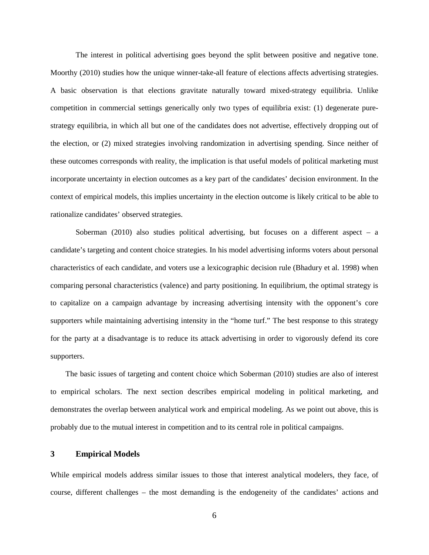The interest in political advertising goes beyond the split between positive and negative tone. Moorthy (2010) studies how the unique winner-take-all feature of elections affects advertising strategies. A basic observation is that elections gravitate naturally toward mixed-strategy equilibria. Unlike competition in commercial settings generically only two types of equilibria exist: (1) degenerate purestrategy equilibria, in which all but one of the candidates does not advertise, effectively dropping out of the election, or (2) mixed strategies involving randomization in advertising spending. Since neither of these outcomes corresponds with reality, the implication is that useful models of political marketing must incorporate uncertainty in election outcomes as a key part of the candidates' decision environment. In the context of empirical models, this implies uncertainty in the election outcome is likely critical to be able to rationalize candidates' observed strategies.

Soberman  $(2010)$  also studies political advertising, but focuses on a different aspect – a candidate's targeting and content choice strategies. In his model advertising informs voters about personal characteristics of each candidate, and voters use a lexicographic decision rule (Bhadury et al. 1998) when comparing personal characteristics (valence) and party positioning. In equilibrium, the optimal strategy is to capitalize on a campaign advantage by increasing advertising intensity with the opponent's core supporters while maintaining advertising intensity in the "home turf." The best response to this strategy for the party at a disadvantage is to reduce its attack advertising in order to vigorously defend its core supporters.

The basic issues of targeting and content choice which Soberman (2010) studies are also of interest to empirical scholars. The next section describes empirical modeling in political marketing, and demonstrates the overlap between analytical work and empirical modeling. As we point out above, this is probably due to the mutual interest in competition and to its central role in political campaigns.

### **3 Empirical Models**

While empirical models address similar issues to those that interest analytical modelers, they face, of course, different challenges – the most demanding is the endogeneity of the candidates' actions and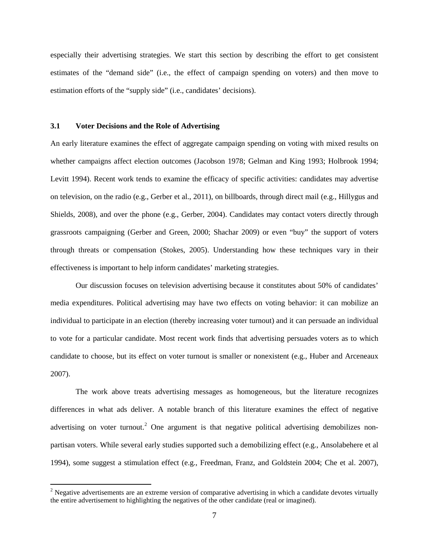especially their advertising strategies. We start this section by describing the effort to get consistent estimates of the "demand side" (i.e., the effect of campaign spending on voters) and then move to estimation efforts of the "supply side" (i.e., candidates' decisions).

## **3.1 Voter Decisions and the Role of Advertising**

An early literature examines the effect of aggregate campaign spending on voting with mixed results on whether campaigns affect election outcomes (Jacobson 1978; Gelman and King 1993; Holbrook 1994; Levitt 1994). Recent work tends to examine the efficacy of specific activities: candidates may advertise on television, on the radio (e.g., Gerber et al., 2011), on billboards, through direct mail (e.g., Hillygus and Shields, 2008), and over the phone (e.g., Gerber, 2004). Candidates may contact voters directly through grassroots campaigning (Gerber and Green, 2000; Shachar 2009) or even "buy" the support of voters through threats or compensation (Stokes, 2005). Understanding how these techniques vary in their effectiveness is important to help inform candidates' marketing strategies.

Our discussion focuses on television advertising because it constitutes about 50% of candidates' media expenditures. Political advertising may have two effects on voting behavior: it can mobilize an individual to participate in an election (thereby increasing voter turnout) and it can persuade an individual to vote for a particular candidate. Most recent work finds that advertising persuades voters as to which candidate to choose, but its effect on voter turnout is smaller or nonexistent (e.g., Huber and Arceneaux 2007).

The work above treats advertising messages as homogeneous, but the literature recognizes differences in what ads deliver. A notable branch of this literature examines the effect of negative advertising on voter turnout.<sup>[2](#page-6-0)</sup> One argument is that negative political advertising demobilizes nonpartisan voters. While several early studies supported such a demobilizing effect (e.g., Ansolabehere et al 1994), some suggest a stimulation effect (e.g., Freedman, Franz, and Goldstein 2004; Che et al. 2007),

<span id="page-6-0"></span> $2$  Negative advertisements are an extreme version of comparative advertising in which a candidate devotes virtually the entire advertisement to highlighting the negatives of the other candidate (real or imagined).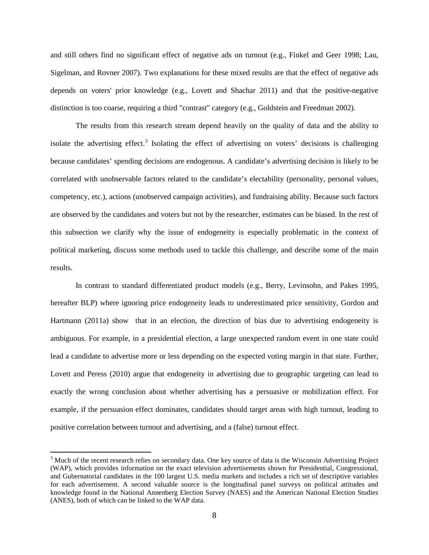and still others find no significant effect of negative ads on turnout (e.g., Finkel and Geer 1998; Lau, Sigelman, and Rovner 2007). Two explanations for these mixed results are that the effect of negative ads depends on voters' prior knowledge (e.g., Lovett and Shachar 2011) and that the positive-negative distinction is too coarse, requiring a third "contrast" category (e.g., Goldstein and Freedman 2002).

The results from this research stream depend heavily on the quality of data and the ability to isolate the advertising effect.<sup>[3](#page-7-0)</sup> Isolating the effect of advertising on voters' decisions is challenging because candidates' spending decisions are endogenous. A candidate's advertising decision is likely to be correlated with unobservable factors related to the candidate's electability (personality, personal values, competency, etc.), actions (unobserved campaign activities), and fundraising ability. Because such factors are observed by the candidates and voters but not by the researcher, estimates can be biased. In the rest of this subsection we clarify why the issue of endogeneity is especially problematic in the context of political marketing, discuss some methods used to tackle this challenge, and describe some of the main results.

In contrast to standard differentiated product models (e.g., Berry, Levinsohn, and Pakes 1995, hereafter BLP) where ignoring price endogeneity leads to underestimated price sensitivity, Gordon and Hartmann (2011a) show that in an election, the direction of bias due to advertising endogeneity is ambiguous. For example, in a presidential election, a large unexpected random event in one state could lead a candidate to advertise more or less depending on the expected voting margin in that state. Further, Lovett and Peress (2010) argue that endogeneity in advertising due to geographic targeting can lead to exactly the wrong conclusion about whether advertising has a persuasive or mobilization effect. For example, if the persuasion effect dominates, candidates should target areas with high turnout, leading to positive correlation between turnout and advertising, and a (false) turnout effect.

<span id="page-7-0"></span><sup>&</sup>lt;sup>3</sup> Much of the recent research relies on secondary data. One key source of data is the Wisconsin Advertising Project (WAP), which provides information on the exact television advertisements shown for Presidential, Congressional, and Gubernatorial candidates in the 100 largest U.S. media markets and includes a rich set of descriptive variables for each advertisement. A second valuable source is the longitudinal panel surveys on political attitudes and knowledge found in the National Annenberg Election Survey (NAES) and the American National Election Studies (ANES), both of which can be linked to the WAP data.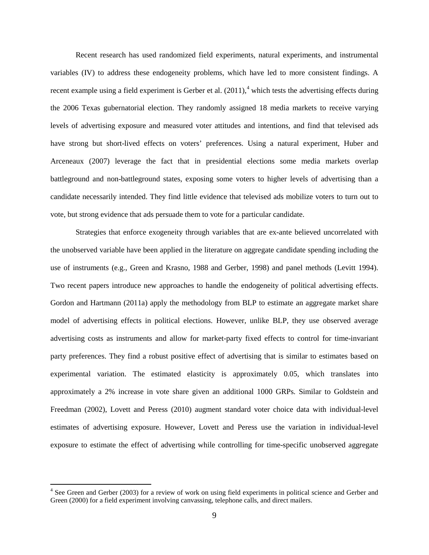Recent research has used randomized field experiments, natural experiments, and instrumental variables (IV) to address these endogeneity problems, which have led to more consistent findings. A recent example using a field experiment is Gerber et al.  $(2011)$ ,  $^4$  $^4$  which tests the advertising effects during the 2006 Texas gubernatorial election. They randomly assigned 18 media markets to receive varying levels of advertising exposure and measured voter attitudes and intentions, and find that televised ads have strong but short-lived effects on voters' preferences. Using a natural experiment, Huber and Arceneaux (2007) leverage the fact that in presidential elections some media markets overlap battleground and non-battleground states, exposing some voters to higher levels of advertising than a candidate necessarily intended. They find little evidence that televised ads mobilize voters to turn out to vote, but strong evidence that ads persuade them to vote for a particular candidate.

Strategies that enforce exogeneity through variables that are ex-ante believed uncorrelated with the unobserved variable have been applied in the literature on aggregate candidate spending including the use of instruments (e.g., Green and Krasno, 1988 and Gerber, 1998) and panel methods (Levitt 1994). Two recent papers introduce new approaches to handle the endogeneity of political advertising effects. Gordon and Hartmann (2011a) apply the methodology from BLP to estimate an aggregate market share model of advertising effects in political elections. However, unlike BLP, they use observed average advertising costs as instruments and allow for market-party fixed effects to control for time-invariant party preferences. They find a robust positive effect of advertising that is similar to estimates based on experimental variation. The estimated elasticity is approximately 0.05, which translates into approximately a 2% increase in vote share given an additional 1000 GRPs. Similar to Goldstein and Freedman (2002), Lovett and Peress (2010) augment standard voter choice data with individual-level estimates of advertising exposure. However, Lovett and Peress use the variation in individual-level exposure to estimate the effect of advertising while controlling for time-specific unobserved aggregate

<span id="page-8-0"></span><sup>&</sup>lt;sup>4</sup> See Green and Gerber (2003) for a review of work on using field experiments in political science and Gerber and Green (2000) for a field experiment involving canvassing, telephone calls, and direct mailers.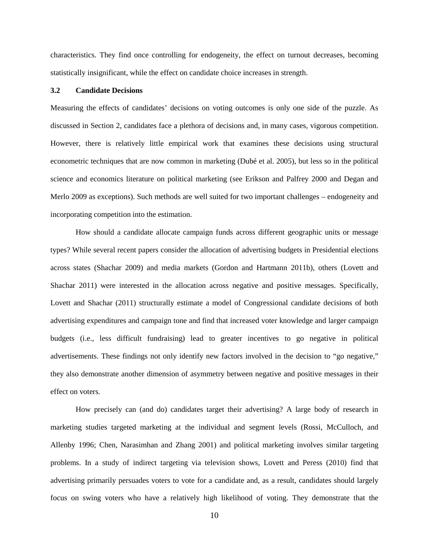characteristics. They find once controlling for endogeneity, the effect on turnout decreases, becoming statistically insignificant, while the effect on candidate choice increases in strength.

#### **3.2 Candidate Decisions**

Measuring the effects of candidates' decisions on voting outcomes is only one side of the puzzle. As discussed in Section 2, candidates face a plethora of decisions and, in many cases, vigorous competition. However, there is relatively little empirical work that examines these decisions using structural econometric techniques that are now common in marketing (Dubé et al. 2005), but less so in the political science and economics literature on political marketing (see Erikson and Palfrey 2000 and Degan and Merlo 2009 as exceptions). Such methods are well suited for two important challenges – endogeneity and incorporating competition into the estimation.

How should a candidate allocate campaign funds across different geographic units or message types? While several recent papers consider the allocation of advertising budgets in Presidential elections across states (Shachar 2009) and media markets (Gordon and Hartmann 2011b), others (Lovett and Shachar 2011) were interested in the allocation across negative and positive messages. Specifically, Lovett and Shachar (2011) structurally estimate a model of Congressional candidate decisions of both advertising expenditures and campaign tone and find that increased voter knowledge and larger campaign budgets (i.e., less difficult fundraising) lead to greater incentives to go negative in political advertisements. These findings not only identify new factors involved in the decision to "go negative," they also demonstrate another dimension of asymmetry between negative and positive messages in their effect on voters.

How precisely can (and do) candidates target their advertising? A large body of research in marketing studies targeted marketing at the individual and segment levels (Rossi, McCulloch, and Allenby 1996; Chen, Narasimhan and Zhang 2001) and political marketing involves similar targeting problems. In a study of indirect targeting via television shows, Lovett and Peress (2010) find that advertising primarily persuades voters to vote for a candidate and, as a result, candidates should largely focus on swing voters who have a relatively high likelihood of voting. They demonstrate that the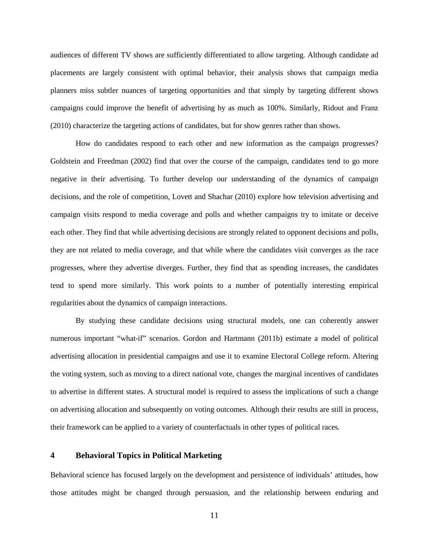audiences of different TV shows are sufficiently differentiated to allow targeting. Although candidate ad placements are largely consistent with optimal behavior, their analysis shows that campaign media planners miss subtler nuances of targeting opportunities and that simply by targeting different shows campaigns could improve the benefit of advertising by as much as 100%. Similarly, Ridout and Franz (2010) characterize the targeting actions of candidates, but for show genres rather than shows.

How do candidates respond to each other and new information as the campaign progresses? Goldstein and Freedman (2002) find that over the course of the campaign, candidates tend to go more negative in their advertising. To further develop our understanding of the dynamics of campaign decisions, and the role of competition, Lovett and Shachar (2010) explore how television advertising and campaign visits respond to media coverage and polls and whether campaigns try to imitate or deceive each other. They find that while advertising decisions are strongly related to opponent decisions and polls, they are not related to media coverage, and that while where the candidates visit converges as the race progresses, where they advertise diverges. Further, they find that as spending increases, the candidates tend to spend more similarly. This work points to a number of potentially interesting empirical regularities about the dynamics of campaign interactions.

By studying these candidate decisions using structural models, one can coherently answer numerous important "what-if" scenarios. Gordon and Hartmann (2011b) estimate a model of political advertising allocation in presidential campaigns and use it to examine Electoral College reform. Altering the voting system, such as moving to a direct national vote, changes the marginal incentives of candidates to advertise in different states. A structural model is required to assess the implications of such a change on advertising allocation and subsequently on voting outcomes. Although their results are still in process, their framework can be applied to a variety of counterfactuals in other types of political races.

## **4 Behavioral Topics in Political Marketing**

Behavioral science has focused largely on the development and persistence of individuals' attitudes, how those attitudes might be changed through persuasion, and the relationship between enduring and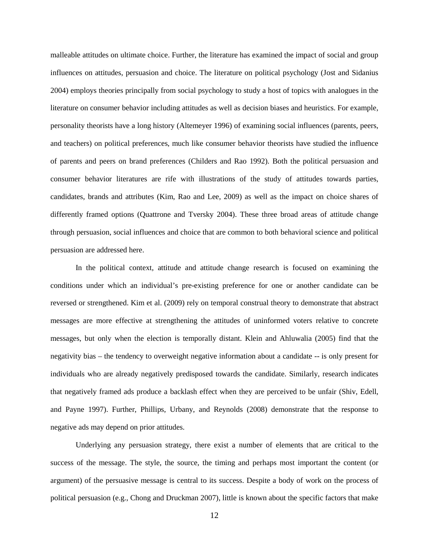malleable attitudes on ultimate choice. Further, the literature has examined the impact of social and group influences on attitudes, persuasion and choice. The literature on political psychology (Jost and Sidanius 2004) employs theories principally from social psychology to study a host of topics with analogues in the literature on consumer behavior including attitudes as well as decision biases and heuristics. For example, personality theorists have a long history (Altemeyer 1996) of examining social influences (parents, peers, and teachers) on political preferences, much like consumer behavior theorists have studied the influence of parents and peers on brand preferences (Childers and Rao 1992). Both the political persuasion and consumer behavior literatures are rife with illustrations of the study of attitudes towards parties, candidates, brands and attributes (Kim, Rao and Lee, 2009) as well as the impact on choice shares of differently framed options (Quattrone and Tversky 2004). These three broad areas of attitude change through persuasion, social influences and choice that are common to both behavioral science and political persuasion are addressed here.

In the political context, attitude and attitude change research is focused on examining the conditions under which an individual's pre-existing preference for one or another candidate can be reversed or strengthened. Kim et al. (2009) rely on temporal construal theory to demonstrate that abstract messages are more effective at strengthening the attitudes of uninformed voters relative to concrete messages, but only when the election is temporally distant. Klein and Ahluwalia (2005) find that the negativity bias – the tendency to overweight negative information about a candidate -- is only present for individuals who are already negatively predisposed towards the candidate. Similarly, research indicates that negatively framed ads produce a backlash effect when they are perceived to be unfair (Shiv, Edell, and Payne 1997). Further, Phillips, Urbany, and Reynolds (2008) demonstrate that the response to negative ads may depend on prior attitudes.

Underlying any persuasion strategy, there exist a number of elements that are critical to the success of the message. The style, the source, the timing and perhaps most important the content (or argument) of the persuasive message is central to its success. Despite a body of work on the process of political persuasion (e.g., Chong and Druckman 2007), little is known about the specific factors that make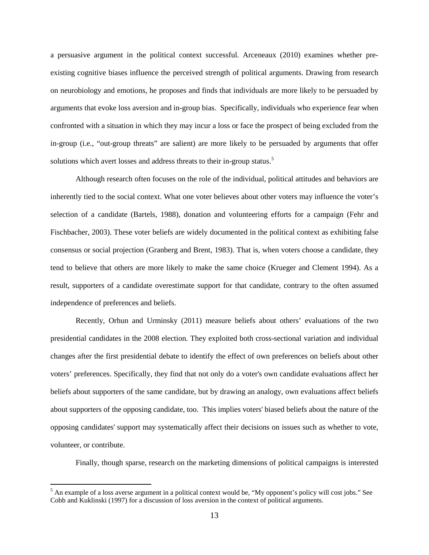a persuasive argument in the political context successful. Arceneaux (2010) examines whether preexisting cognitive biases influence the perceived strength of political arguments. Drawing from research on neurobiology and emotions, he proposes and finds that individuals are more likely to be persuaded by arguments that evoke loss aversion and in-group bias. Specifically, individuals who experience fear when confronted with a situation in which they may incur a loss or face the prospect of being excluded from the in-group (i.e., "out-group threats" are salient) are more likely to be persuaded by arguments that offer solutions which avert losses and address threats to their in-group status.<sup>[5](#page-12-0)</sup>

Although research often focuses on the role of the individual, political attitudes and behaviors are inherently tied to the social context. What one voter believes about other voters may influence the voter's selection of a candidate (Bartels, 1988), donation and volunteering efforts for a campaign (Fehr and Fischbacher, 2003). These voter beliefs are widely documented in the political context as exhibiting false consensus or social projection (Granberg and Brent, 1983). That is, when voters choose a candidate, they tend to believe that others are more likely to make the same choice (Krueger and Clement 1994). As a result, supporters of a candidate overestimate support for that candidate, contrary to the often assumed independence of preferences and beliefs.

Recently, Orhun and Urminsky (2011) measure beliefs about others' evaluations of the two presidential candidates in the 2008 election. They exploited both cross-sectional variation and individual changes after the first presidential debate to identify the effect of own preferences on beliefs about other voters' preferences. Specifically, they find that not only do a voter's own candidate evaluations affect her beliefs about supporters of the same candidate, but by drawing an analogy, own evaluations affect beliefs about supporters of the opposing candidate, too. This implies voters' biased beliefs about the nature of the opposing candidates' support may systematically affect their decisions on issues such as whether to vote, volunteer, or contribute.

Finally, though sparse, research on the marketing dimensions of political campaigns is interested

<span id="page-12-0"></span><sup>&</sup>lt;sup>5</sup> An example of a loss averse argument in a political context would be, "My opponent's policy will cost jobs." See Cobb and Kuklinski (1997) for a discussion of loss aversion in the context of political arguments.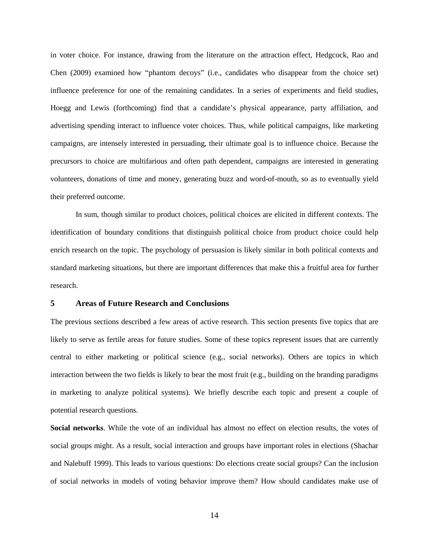in voter choice. For instance, drawing from the literature on the attraction effect, Hedgcock, Rao and Chen (2009) examined how "phantom decoys" (i.e., candidates who disappear from the choice set) influence preference for one of the remaining candidates. In a series of experiments and field studies, Hoegg and Lewis (forthcoming) find that a candidate's physical appearance, party affiliation, and advertising spending interact to influence voter choices. Thus, while political campaigns, like marketing campaigns, are intensely interested in persuading, their ultimate goal is to influence choice. Because the precursors to choice are multifarious and often path dependent, campaigns are interested in generating volunteers, donations of time and money, generating buzz and word-of-mouth, so as to eventually yield their preferred outcome.

In sum, though similar to product choices, political choices are elicited in different contexts. The identification of boundary conditions that distinguish political choice from product choice could help enrich research on the topic. The psychology of persuasion is likely similar in both political contexts and standard marketing situations, but there are important differences that make this a fruitful area for further research.

#### **5 Areas of Future Research and Conclusions**

The previous sections described a few areas of active research. This section presents five topics that are likely to serve as fertile areas for future studies. Some of these topics represent issues that are currently central to either marketing or political science (e.g., social networks). Others are topics in which interaction between the two fields is likely to bear the most fruit (e.g., building on the branding paradigms in marketing to analyze political systems). We briefly describe each topic and present a couple of potential research questions.

**Social networks**. While the vote of an individual has almost no effect on election results, the votes of social groups might. As a result, social interaction and groups have important roles in elections (Shachar and Nalebuff 1999). This leads to various questions: Do elections create social groups? Can the inclusion of social networks in models of voting behavior improve them? How should candidates make use of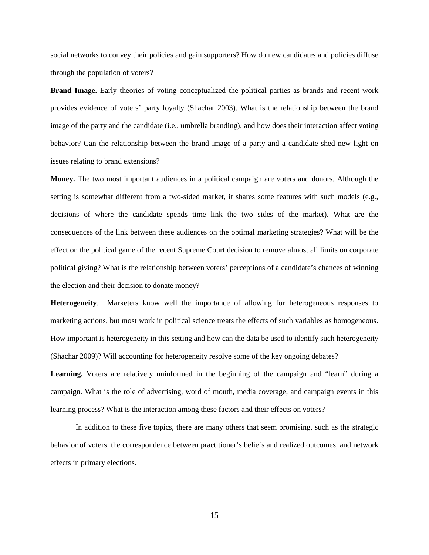social networks to convey their policies and gain supporters? How do new candidates and policies diffuse through the population of voters?

**Brand Image.** Early theories of voting conceptualized the political parties as brands and recent work provides evidence of voters' party loyalty (Shachar 2003). What is the relationship between the brand image of the party and the candidate (i.e., umbrella branding), and how does their interaction affect voting behavior? Can the relationship between the brand image of a party and a candidate shed new light on issues relating to brand extensions?

**Money.** The two most important audiences in a political campaign are voters and donors. Although the setting is somewhat different from a two-sided market, it shares some features with such models (e.g., decisions of where the candidate spends time link the two sides of the market). What are the consequences of the link between these audiences on the optimal marketing strategies? What will be the effect on the political game of the recent Supreme Court decision to remove almost all limits on corporate political giving? What is the relationship between voters' perceptions of a candidate's chances of winning the election and their decision to donate money?

**Heterogeneity**. Marketers know well the importance of allowing for heterogeneous responses to marketing actions, but most work in political science treats the effects of such variables as homogeneous. How important is heterogeneity in this setting and how can the data be used to identify such heterogeneity (Shachar 2009)? Will accounting for heterogeneity resolve some of the key ongoing debates?

Learning. Voters are relatively uninformed in the beginning of the campaign and "learn" during a campaign. What is the role of advertising, word of mouth, media coverage, and campaign events in this learning process? What is the interaction among these factors and their effects on voters?

In addition to these five topics, there are many others that seem promising, such as the strategic behavior of voters, the correspondence between practitioner's beliefs and realized outcomes, and network effects in primary elections.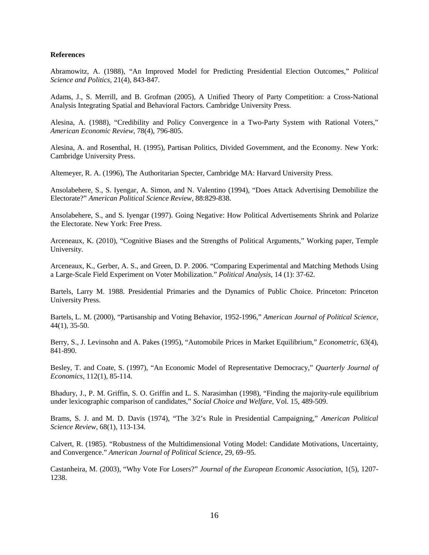### **References**

Abramowitz, A. (1988), "An Improved Model for Predicting Presidential Election Outcomes," *Political Science and Politics*, 21(4), 843-847.

Adams, J., S. Merrill, and B. Grofman (2005), A Unified Theory of Party Competition: a Cross-National Analysis Integrating Spatial and Behavioral Factors. Cambridge University Press.

Alesina, A. (1988), "Credibility and Policy Convergence in a Two-Party System with Rational Voters," *American Economic Review*, 78(4), 796-805.

Alesina, A. and Rosenthal, H. (1995), Partisan Politics, Divided Government, and the Economy. New York: Cambridge University Press.

Altemeyer, R. A. (1996), The Authoritarian Specter, Cambridge MA: Harvard University Press.

Ansolabehere, S., S. Iyengar, A. Simon, and N. Valentino (1994), "Does Attack Advertising Demobilize the Electorate?" *American Political Science Review*, 88:829-838.

Ansolabehere, S., and S. Iyengar (1997). Going Negative: How Political Advertisements Shrink and Polarize the Electorate. New York: Free Press.

Arceneaux, K. (2010), "Cognitive Biases and the Strengths of Political Arguments," Working paper, Temple University.

Arceneaux, K., Gerber, A. S., and Green, D. P. 2006. "Comparing Experimental and Matching Methods Using a Large-Scale Field Experiment on Voter Mobilization." *Political Analysis,* 14 (1): 37-62.

Bartels, Larry M. 1988. Presidential Primaries and the Dynamics of Public Choice. Princeton: Princeton University Press.

Bartels, L. M. (2000), "Partisanship and Voting Behavior, 1952-1996," *American Journal of Political Science*, 44(1), 35-50.

Berry, S., J. Levinsohn and A. Pakes (1995), "Automobile Prices in Market Equilibrium," *Econometric*, 63(4), 841-890.

Besley, T. and Coate, S. (1997), "An Economic Model of Representative Democracy," *Quarterly Journal of Economics*, 112(1), 85-114.

Bhadury, J., P. M. Griffin, S. O. Griffin and L. S. Narasimhan (1998), "Finding the majority-rule equilibrium under lexicographic comparison of candidates," *Social Choice and Welfare*, Vol. 15, 489-509.

Brams, S. J. and M. D. Davis (1974), "The 3/2's Rule in Presidential Campaigning," *American Political Science Review*, 68(1), 113-134.

Calvert, R. (1985). "Robustness of the Multidimensional Voting Model: Candidate Motivations, Uncertainty, and Convergence." *American Journal of Political Science*, 29, 69–95.

Castanheira, M. (2003), "Why Vote For Losers?" *Journal of the European Economic Association*, 1(5), 1207- 1238.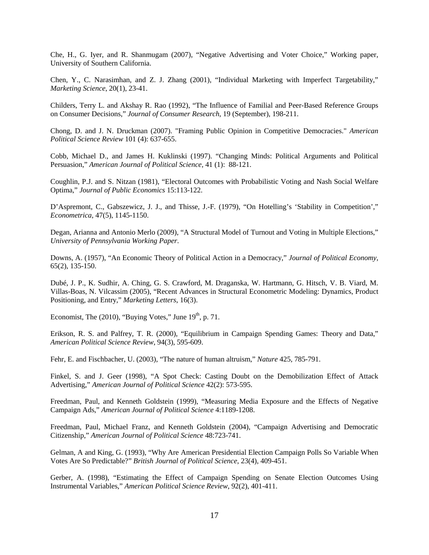Che, H., G. Iyer, and R. Shanmugam (2007), "Negative Advertising and Voter Choice," Working paper, University of Southern California.

Chen, Y., C. Narasimhan, and Z. J. Zhang (2001), "Individual Marketing with Imperfect Targetability," *Marketing Science*, 20(1), 23-41.

Childers, Terry L. and Akshay R. Rao (1992), "The Influence of Familial and Peer-Based Reference Groups on Consumer Decisions," *Journal of Consumer Research*, 19 (September), 198-211.

Chong, D. and J. N. Druckman (2007). "Framing Public Opinion in Competitive Democracies." *American Political Science Review* 101 (4): 637-655.

Cobb, Michael D., and James H. Kuklinski (1997). "Changing Minds: Political Arguments and Political Persuasion," *American Journal of Political Science,* 41 (1): 88-121.

Coughlin, P.J. and S. Nitzan (1981), "Electoral Outcomes with Probabilistic Voting and Nash Social Welfare Optima," *Journal of Public Economics* 15:113-122.

D'Aspremont, C., Gabszewicz, J. J., and Thisse, J.-F. (1979), "On Hotelling's 'Stability in Competition'," *Econometrica*, 47(5), 1145-1150.

Degan, Arianna and Antonio Merlo (2009), "A Structural Model of Turnout and Voting in Multiple Elections," *University of Pennsylvania Working Paper*.

Downs, A. (1957), "An Economic Theory of Political Action in a Democracy," *Journal of Political Economy*, 65(2), 135-150.

Dubé, J. P., K. Sudhir, A. Ching, G. S. Crawford, M. Draganska, W. Hartmann, G. Hitsch, V. B. Viard, M. Villas-Boas, N. Vilcassim (2005), "Recent Advances in Structural Econometric Modeling: Dynamics, Product Positioning, and Entry," *Marketing Letters*, 16(3).

Economist, The  $(2010)$ , "Buying Votes," June  $19<sup>th</sup>$ , p. 71.

Erikson, R. S. and Palfrey, T. R. (2000), "Equilibrium in Campaign Spending Games: Theory and Data," *American Political Science Review*, 94(3), 595-609.

Fehr, E. and Fischbacher, U. (2003), "The nature of human altruism," *Nature* 425, 785-791.

Finkel, S. and J. Geer (1998), "A Spot Check: Casting Doubt on the Demobilization Effect of Attack Advertising," *American Journal of Political Science* 42(2): 573-595.

Freedman, Paul, and Kenneth Goldstein (1999), "Measuring Media Exposure and the Effects of Negative Campaign Ads," *American Journal of Political Science* 4:1189-1208.

Freedman, Paul, Michael Franz, and Kenneth Goldstein (2004), "Campaign Advertising and Democratic Citizenship," *American Journal of Political Science* 48:723-741.

Gelman, A and King, G. (1993), "Why Are American Presidential Election Campaign Polls So Variable When Votes Are So Predictable?" *British Journal of Political Science*, 23(4), 409-451.

Gerber, A. (1998), "Estimating the Effect of Campaign Spending on Senate Election Outcomes Using Instrumental Variables," *American Political Science Review*, 92(2), 401-411.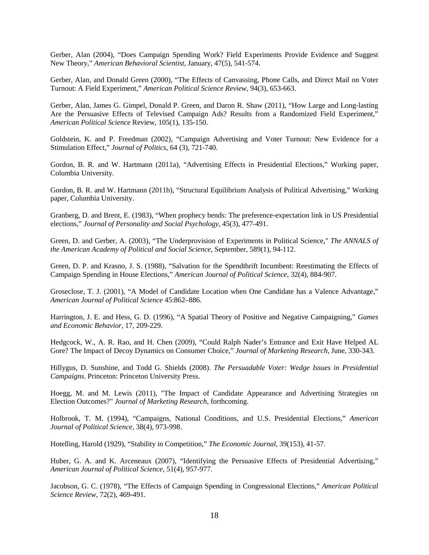Gerber, Alan (2004), "Does Campaign Spending Work? Field Experiments Provide Evidence and Suggest New Theory," *American Behavioral Scientist*, January, 47(5), 541-574.

Gerber, Alan, and Donald Green (2000), "The Effects of Canvassing, Phone Calls, and Direct Mail on Voter Turnout: A Field Experiment," *American Political Science Review*, 94(3), 653-663.

Gerber, Alan, James G. Gimpel, Donald P. Green, and Daron R. Shaw (2011), "How Large and Long-lasting Are the Persuasive Effects of Televised Campaign Ads? Results from a Randomized Field Experiment," *American Political Science* Review, 105(1), 135-150.

Goldstein, K. and P. Freedman (2002), "Campaign Advertising and Voter Turnout: New Evidence for a Stimulation Effect," *Journal of Politics*, 64 (3), 721-740.

Gordon, B. R. and W. Hartmann (2011a), "Advertising Effects in Presidential Elections," Working paper, Columbia University.

Gordon, B. R. and W. Hartmann (2011b), "Structural Equilibrium Analysis of Political Advertising," Working paper, Columbia University.

Granberg, D. and Brent, E. (1983), "When prophecy bends: The preference-expectation link in US Presidential elections," *Journal of Personality and Social Psychology*, 45(3), 477-491.

Green, D. and Gerber, A. (2003), "The Underprovision of Experiments in Political Science," *The ANNALS of the American Academy of Political and Social Science*, September, 589(1), 94-112.

Green, D. P. and Krasno, J. S. (1988), "Salvation for the Spendthrift Incumbent: Reestimating the Effects of Campaign Spending in House Elections," *American Journal of Political Science*, 32(4), 884-907.

Groseclose, T. J. (2001), "A Model of Candidate Location when One Candidate has a Valence Advantage," *American Journal of Political Science* 45:862–886.

Harrington, J. E. and Hess, G. D. (1996), "A Spatial Theory of Positive and Negative Campaigning," *Games and Economic Behavior*, 17, 209-229.

Hedgcock, W., A. R. Rao, and H. Chen (2009), "Could Ralph Nader's Entrance and Exit Have Helped AL Gore? The Impact of Decoy Dynamics on Consumer Choice," *Journal of Marketing Research*, June, 330-343.

Hillygus, D. Sunshine, and Todd G. Shields (2008). *The Persuadable Voter: Wedge Issues in Presidential Campaigns*. Princeton: Princeton University Press.

Hoegg, M. and M. Lewis (2011), "The Impact of Candidate Appearance and Advertising Strategies on Election Outcomes?" *Journal of Marketing Research*, forthcoming.

Holbrook, T. M. (1994), "Campaigns, National Conditions, and U.S. Presidential Elections," *American Journal of Political Science*, 38(4), 973-998.

Hotelling, Harold (1929), "Stability in Competition," *The Economic Journal*, 39(153), 41-57.

Huber, G. A. and K. Arceneaux (2007), "Identifying the Persuasive Effects of Presidential Advertising," *American Journal of Political Science*, 51(4), 957-977.

Jacobson, G. C. (1978), "The Effects of Campaign Spending in Congressional Elections," *American Political Science Review*, 72(2), 469-491.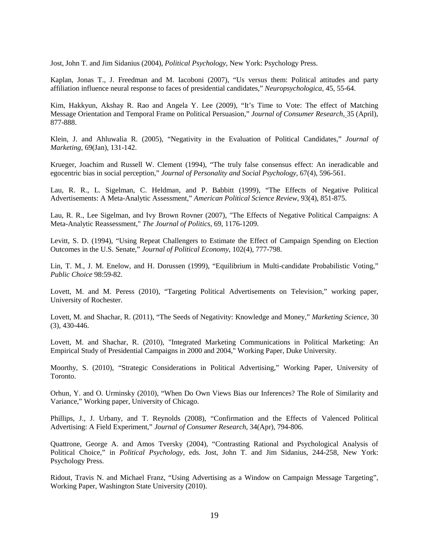Jost, John T. and Jim Sidanius (2004), *Political Psychology*, New York: Psychology Press.

Kaplan, Jonas T., J. Freedman and M. Iacoboni (2007), "Us versus them: Political attitudes and party affiliation influence neural response to faces of presidential candidates," *Neuropsychologica,* 45, 55-64.

Kim, Hakkyun, Akshay R. Rao and Angela Y. Lee (2009), "It's Time to Vote: The effect of Matching Message Orientation and Temporal Frame on Political Persuasion," *Journal of Consumer Research,* 35 (April), 877-888.

Klein, J. and Ahluwalia R. (2005), "Negativity in the Evaluation of Political Candidates," *Journal of Marketing*, 69(Jan), 131-142.

Krueger, Joachim and Russell W. Clement (1994), "The truly false consensus effect: An ineradicable and egocentric bias in social perception," *Journal of Personality and Social Psychology,* 67(4), 596-561.

Lau, R. R., L. Sigelman, C. Heldman, and P. Babbitt (1999), "The Effects of Negative Political Advertisements: A Meta-Analytic Assessment," *American Political Science Review*, 93(4), 851-875.

Lau, R. R., Lee Sigelman, and Ivy Brown Rovner (2007), "The Effects of Negative Political Campaigns: A Meta-Analytic Reassessment," *The Journal of Politics*, 69, 1176-1209.

Levitt, S. D. (1994), "Using Repeat Challengers to Estimate the Effect of Campaign Spending on Election Outcomes in the U.S. Senate," *Journal of Political Economy*, 102(4), 777-798.

Lin, T. M., J. M. Enelow, and H. Dorussen (1999), "Equilibrium in Multi-candidate Probabilistic Voting," *Public Choice* 98:59-82.

Lovett, M. and M. Peress (2010), "Targeting Political Advertisements on Television," working paper, University of Rochester.

Lovett, M. and Shachar, R. (2011), "The Seeds of Negativity: Knowledge and Money," *Marketing Science*, 30 (3), 430-446.

Lovett, M. and Shachar, R. (2010), "Integrated Marketing Communications in Political Marketing: An Empirical Study of Presidential Campaigns in 2000 and 2004," Working Paper, Duke University.

Moorthy, S. (2010), "Strategic Considerations in Political Advertising," Working Paper, University of Toronto.

Orhun, Y. and O. Urminsky (2010), "When Do Own Views Bias our Inferences? The Role of Similarity and Variance," Working paper, University of Chicago.

Phillips, J., J. Urbany, and T. Reynolds (2008), "Confirmation and the Effects of Valenced Political Advertising: A Field Experiment," *Journal of Consumer Research*, 34(Apr), 794-806.

Quattrone, George A. and Amos Tversky (2004), "Contrasting Rational and Psychological Analysis of Political Choice," in *Political Psychology*, eds. Jost, John T. and Jim Sidanius, 244-258, New York: Psychology Press.

Ridout, Travis N. and Michael Franz, "Using Advertising as a Window on Campaign Message Targeting", Working Paper, Washington State University (2010).